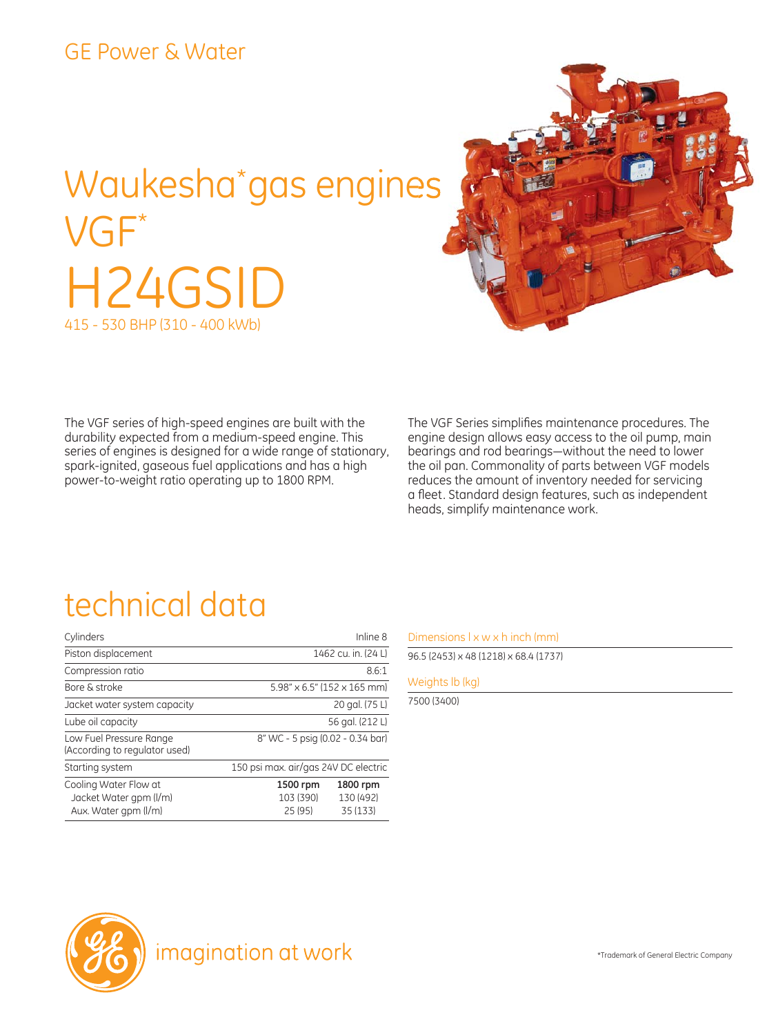### GE Power & Water

# Waukesha\* gas engines VGF\* H24GSID 415 - 530 BHP (310 - 400 kWb)



The VGF series of high-speed engines are built with the durability expected from a medium-speed engine. This series of engines is designed for a wide range of stationary, spark-ignited, gaseous fuel applications and has a high power-to-weight ratio operating up to 1800 RPM.

The VGF Series simplifies maintenance procedures. The engine design allows easy access to the oil pump, main bearings and rod bearings―without the need to lower the oil pan. Commonality of parts between VGF models reduces the amount of inventory needed for servicing a fleet. Standard design features, such as independent heads, simplify maintenance work.

### technical data

| Cylinders                                                               | Inline 8                                                              |  |  |
|-------------------------------------------------------------------------|-----------------------------------------------------------------------|--|--|
| Piston displacement                                                     | 1462 cu. in. (24 L)                                                   |  |  |
| Compression ratio                                                       | 8.6:1                                                                 |  |  |
| Bore & stroke                                                           | $5.98'' \times 6.5''$ (152 $\times$ 165 mm)                           |  |  |
| Jacket water system capacity                                            | 20 gal. (75 L)                                                        |  |  |
| Lube oil capacity                                                       | 56 gal. (212 L)                                                       |  |  |
| Low Fuel Pressure Range<br>(According to regulator used)                | 8" WC - 5 psig (0.02 - 0.34 bar)                                      |  |  |
| Starting system                                                         | 150 psi max. air/gas 24V DC electric                                  |  |  |
| Cooling Water Flow at<br>Jacket Water gpm (I/m)<br>Aux. Water gpm (I/m) | 1500 rpm<br>1800 rpm<br>103 (390)<br>130 (492)<br>25 (95)<br>35 (133) |  |  |

#### Dimensions  $l \times w \times h$  inch (mm)

96.5 (2453) x 48 (1218) x 68.4 (1737)

#### Weights lb (kg)

7500 (3400)